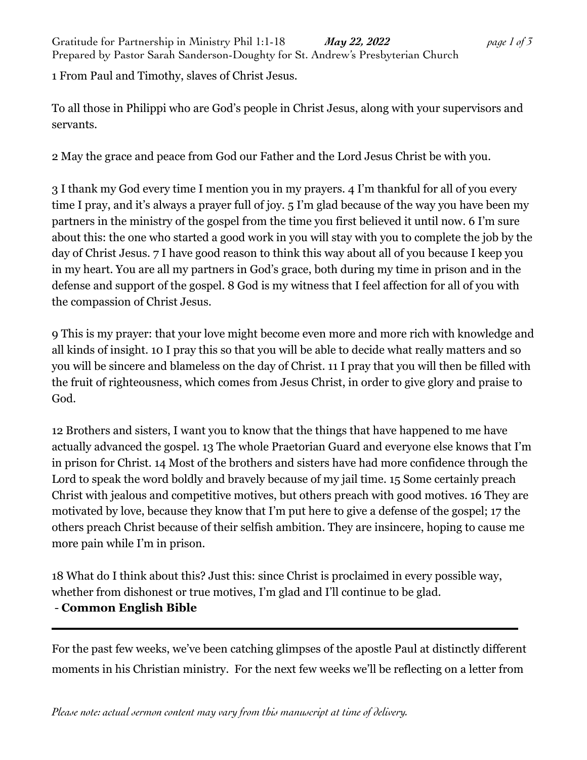1 From Paul and Timothy, slaves of Christ Jesus.

To all those in Philippi who are God's people in Christ Jesus, along with your supervisors and servants.

2 May the grace and peace from God our Father and the Lord Jesus Christ be with you.

3 I thank my God every time I mention you in my prayers. 4 I'm thankful for all of you every time I pray, and it's always a prayer full of joy. 5 I'm glad because of the way you have been my partners in the ministry of the gospel from the time you first believed it until now. 6 I'm sure about this: the one who started a good work in you will stay with you to complete the job by the day of Christ Jesus. 7 I have good reason to think this way about all of you because I keep you in my heart. You are all my partners in God's grace, both during my time in prison and in the defense and support of the gospel. 8 God is my witness that I feel affection for all of you with the compassion of Christ Jesus.

9 This is my prayer: that your love might become even more and more rich with knowledge and all kinds of insight. 10 I pray this so that you will be able to decide what really matters and so you will be sincere and blameless on the day of Christ. 11 I pray that you will then be filled with the fruit of righteousness, which comes from Jesus Christ, in order to give glory and praise to God.

12 Brothers and sisters, I want you to know that the things that have happened to me have actually advanced the gospel. 13 The whole Praetorian Guard and everyone else knows that I'm in prison for Christ. 14 Most of the brothers and sisters have had more confidence through the Lord to speak the word boldly and bravely because of my jail time. 15 Some certainly preach Christ with jealous and competitive motives, but others preach with good motives. 16 They are motivated by love, because they know that I'm put here to give a defense of the gospel; 17 the others preach Christ because of their selfish ambition. They are insincere, hoping to cause me more pain while I'm in prison.

18 What do I think about this? Just this: since Christ is proclaimed in every possible way, whether from dishonest or true motives, I'm glad and I'll continue to be glad. - **Common English Bible**

For the past few weeks, we've been catching glimpses of the apostle Paul at distinctly different moments in his Christian ministry. For the next few weeks we'll be reflecting on a letter from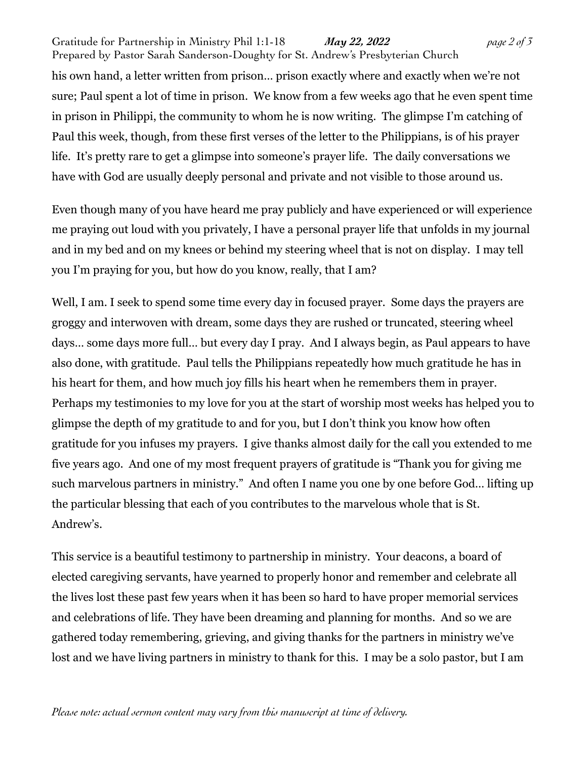Gratitude for Partnership in Ministry Phil 1:1-18 *May 22, 2022 page 2 of 3* Prepared by Pastor Sarah Sanderson-Doughty for St. Andrew's Presbyterian Church his own hand, a letter written from prison… prison exactly where and exactly when we're not sure; Paul spent a lot of time in prison. We know from a few weeks ago that he even spent time in prison in Philippi, the community to whom he is now writing. The glimpse I'm catching of Paul this week, though, from these first verses of the letter to the Philippians, is of his prayer life. It's pretty rare to get a glimpse into someone's prayer life. The daily conversations we have with God are usually deeply personal and private and not visible to those around us.

Even though many of you have heard me pray publicly and have experienced or will experience me praying out loud with you privately, I have a personal prayer life that unfolds in my journal and in my bed and on my knees or behind my steering wheel that is not on display. I may tell you I'm praying for you, but how do you know, really, that I am?

Well, I am. I seek to spend some time every day in focused prayer. Some days the prayers are groggy and interwoven with dream, some days they are rushed or truncated, steering wheel days… some days more full… but every day I pray. And I always begin, as Paul appears to have also done, with gratitude. Paul tells the Philippians repeatedly how much gratitude he has in his heart for them, and how much joy fills his heart when he remembers them in prayer. Perhaps my testimonies to my love for you at the start of worship most weeks has helped you to glimpse the depth of my gratitude to and for you, but I don't think you know how often gratitude for you infuses my prayers. I give thanks almost daily for the call you extended to me five years ago. And one of my most frequent prayers of gratitude is "Thank you for giving me such marvelous partners in ministry." And often I name you one by one before God… lifting up the particular blessing that each of you contributes to the marvelous whole that is St. Andrew's.

This service is a beautiful testimony to partnership in ministry. Your deacons, a board of elected caregiving servants, have yearned to properly honor and remember and celebrate all the lives lost these past few years when it has been so hard to have proper memorial services and celebrations of life. They have been dreaming and planning for months. And so we are gathered today remembering, grieving, and giving thanks for the partners in ministry we've lost and we have living partners in ministry to thank for this. I may be a solo pastor, but I am